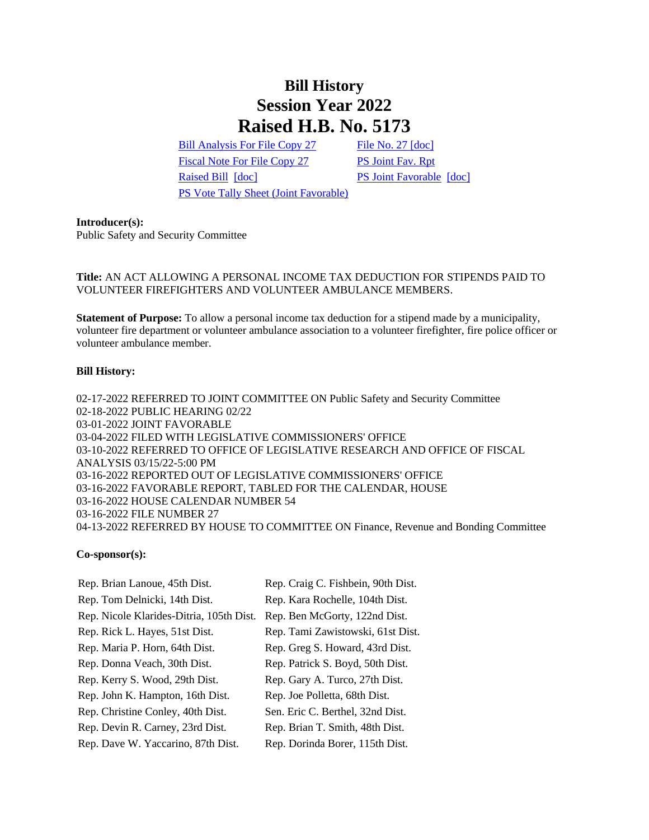# **Bill History Session Year 2022 Raised H.B. No. 5173**

[Bill Analysis For File Copy 27](/2022/BA/PDF/2022HB-05173-R000027-BA.PDF) [File No. 27](/2022/FC/PDF/2022HB-05173-R000027-FC.PDF) [\[doc\]](https://search.cga.state.ct.us/dl2022/fc/doc/2022HB-05173-R000027-FC.docx) [Fiscal Note For File Copy 27](/2022/FN/PDF/2022HB-05173-R000027-FN.PDF) [PS Joint Fav. Rpt](/2022/JFR/H/PDF/2022HB-05173-R00PS-JFR.PDF) [Raised Bill](/2022/TOB/H/PDF/2022HB-05173-R00-HB.PDF) [\[doc\]](https://search.cga.state.ct.us/dl2022/TOB/DOC/2022HB-05173-R01-HB.DOCX) [PS Joint Favorable](/2022/TOB/H/PDF/2022HB-05173-R01-HB.PDF) [doc] [PS Vote Tally Sheet \(Joint Favorable\)](/2022/TS/H/PDF/2022HB-05173-R00PS-CV43-TS.PDF)

#### **Introducer(s):**

Public Safety and Security Committee

# **Title:** AN ACT ALLOWING A PERSONAL INCOME TAX DEDUCTION FOR STIPENDS PAID TO VOLUNTEER FIREFIGHTERS AND VOLUNTEER AMBULANCE MEMBERS.

**Statement of Purpose:** To allow a personal income tax deduction for a stipend made by a municipality, volunteer fire department or volunteer ambulance association to a volunteer firefighter, fire police officer or volunteer ambulance member.

## **Bill History:**

02-17-2022 REFERRED TO JOINT COMMITTEE ON Public Safety and Security Committee 02-18-2022 PUBLIC HEARING 02/22 03-01-2022 JOINT FAVORABLE 03-04-2022 FILED WITH LEGISLATIVE COMMISSIONERS' OFFICE 03-10-2022 REFERRED TO OFFICE OF LEGISLATIVE RESEARCH AND OFFICE OF FISCAL ANALYSIS 03/15/22-5:00 PM 03-16-2022 REPORTED OUT OF LEGISLATIVE COMMISSIONERS' OFFICE 03-16-2022 FAVORABLE REPORT, TABLED FOR THE CALENDAR, HOUSE 03-16-2022 HOUSE CALENDAR NUMBER 54 03-16-2022 FILE NUMBER 27 04-13-2022 REFERRED BY HOUSE TO COMMITTEE ON Finance, Revenue and Bonding Committee

## **Co-sponsor(s):**

| Rep. Brian Lanoue, 45th Dist.            | Rep. Craig C. Fishbein, 90th Dist. |
|------------------------------------------|------------------------------------|
| Rep. Tom Delnicki, 14th Dist.            | Rep. Kara Rochelle, 104th Dist.    |
| Rep. Nicole Klarides-Ditria, 105th Dist. | Rep. Ben McGorty, 122nd Dist.      |
| Rep. Rick L. Hayes, 51st Dist.           | Rep. Tami Zawistowski, 61st Dist.  |
| Rep. Maria P. Horn, 64th Dist.           | Rep. Greg S. Howard, 43rd Dist.    |
| Rep. Donna Veach, 30th Dist.             | Rep. Patrick S. Boyd, 50th Dist.   |
| Rep. Kerry S. Wood, 29th Dist.           | Rep. Gary A. Turco, 27th Dist.     |
| Rep. John K. Hampton, 16th Dist.         | Rep. Joe Polletta, 68th Dist.      |
| Rep. Christine Conley, 40th Dist.        | Sen. Eric C. Berthel, 32nd Dist.   |
| Rep. Devin R. Carney, 23rd Dist.         | Rep. Brian T. Smith, 48th Dist.    |
| Rep. Dave W. Yaccarino, 87th Dist.       | Rep. Dorinda Borer, 115th Dist.    |
|                                          |                                    |